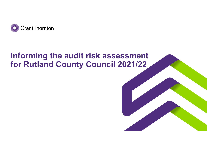

# Informing the audit risk assessment for Rutland County Council 2021/22

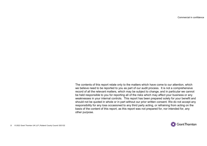Commercial in confidence

The contents of this report relate only to the matters which have come to our attention, which we believe need to be reported to you as part of our audit process. It is not a comprehensive record of all the relevant matters, which may be subject to change, and in particular we cannot be held responsible to you for reporting all of the risks which may affect your business or any weaknesses in your internal controls. This report has been prepared solely for your benefit and should not be quoted in whole or in part without our prior written consent. We do not accept any responsibility for any loss occasioned to any third party acting, or refraining from acting on the basis of the content of this report, as this report was not prepared for, nor intended for, any other purpose.

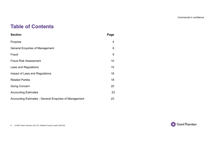Commercial in confidence

### Table of Contents

| <b>Table of Contents</b>                               |                  |
|--------------------------------------------------------|------------------|
| <b>Section</b>                                         | Page             |
| Purpose                                                | 4                |
| <b>General Enquiries of Management</b>                 | $\,6$            |
| Fraud                                                  | $\boldsymbol{9}$ |
| <b>Fraud Risk Assessment</b>                           | 10               |
| Laws and Regulations                                   | 15               |
| Impact of Laws and Regulations                         | 16               |
| <b>Related Parties</b>                                 | 18               |
| <b>Going Concern</b>                                   | 20               |
| <b>Accounting Estimates</b>                            | 22               |
| Accounting Estimates - General Enquiries of Management | 23               |
|                                                        |                  |
|                                                        |                  |

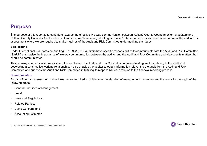### Purpose

Commercial in confidence<br>The purpose of this report is to contribute towards the effective two-way communication between Rutland County Council's external auditors and<br>Rutland County Council's Audit and Risk Committee, as Rutland County Council's Audit and Risk Committee, as 'those charged with governance'. The report covers some important areas of the auditor risk assessment where we are required to make inquiries of the Audit and Risk Committee under auditing standards. **Purpose**<br>The purpose of this report is to contribute towards the effective two-way communication between Rutland County Council's external auditors and<br>Rutland County Council's Audit and Risk Committee, as "brose charged **Purpose**<br>
The purpose of this report is to contribute towards the effective two<br>
Rutland County Council's Audit and Risk Committee, as 'those cha<br> **sackground**<br>
Under International Standards on Auditing (UK), (ISA(UK)) au The purpose of this report is to contribute towards the effective two<br>
Rutland County Council's Audit and Risk Committee, as 'those cha<br>
assessment where we are required to make inquiries of the Audit<br> **Background**<br>
Under

#### **Background**

Under International Standards on Auditing (UK), (ISA(UK)) auditors have specific responsibilities to communicate with the Audit and Risk Committee. ISA(UK) emphasise the importance of two-way communication between the auditor and the Audit and Risk Committee and also specify matters that should be communicated. The purpose of inis report is to commou towards the enective two<br>Rutland County Council's Audit and Risk Committee, as 'those cha<br>Reasessment where we are required to make inquiries of the Audit a<br>Background<br>Under Internat assessment where we are required to make inquiries of the Audit a<br> **Background**<br>
Under International Standards on Auditing (UK), (ISA(UK)) auditors<br>
ISA(UK) emphasise the importance of two-way communication bet<br>
should be **Background**<br>
Under International Standards on Auditing (UK), (ISA(UK)) auditors<br>
ISA(UK) emphasise the importance of two-way communication bet<br>
should be communicated.<br>
This two-way communication assists both the auditor

This two-way communication assists both the auditor and the Audit and Risk Committee in understanding matters relating to the audit and Committee and supports the Audit and Risk Committee in fulfilling its responsibilities in relation to the financial reporting process. Under International Standards on Auditing (UK), (ISA(UK)) auditors<br>ISA(UK) emphasise the importance of two-way communication bet<br>should be communicated.<br>This two-way communication assists both the auditor and the Audit<br>dev

#### Communication

As part of our risk assessment procedures we are required to obtain an understanding of management processes and the council's oversight of the following areas:

- 
- 
- 
- 
- 
- 

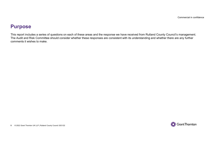### Purpose

This report includes a series of questions on each of these areas and the response we have received from Rutland County Council's management. The Audit and Risk Committee should consider whether these responses are consistent with its understanding and whether there are any further comments it wishes to make.

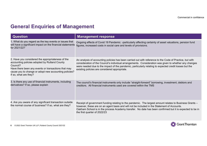### General Enquiries of Management

|                                                                                                                                                                                                                                                         | Commercial in confidence                                                                                                                                                                                                                                                                                                                                                      |
|---------------------------------------------------------------------------------------------------------------------------------------------------------------------------------------------------------------------------------------------------------|-------------------------------------------------------------------------------------------------------------------------------------------------------------------------------------------------------------------------------------------------------------------------------------------------------------------------------------------------------------------------------|
| <b>General Enquiries of Management</b><br><b>Question</b>                                                                                                                                                                                               | <b>Management response</b>                                                                                                                                                                                                                                                                                                                                                    |
| 1. What do you regard as the key events or issues that<br>will have a significant impact on the financial statements<br>for 2021/22?                                                                                                                    | Ongoing effects of Covid 19 Pandemic -particularly affecting certainty of asset valuations, pension fund<br>figures, increased costs in social care and levels of provisions.                                                                                                                                                                                                 |
| 2. Have you considered the appropriateness of the<br>accounting policies adopted by Rutland County<br>Council?<br>Have there been any events or transactions that may<br>cause you to change or adopt new accounting policies?<br>If so, what are they? | An analysis of accounting policies has been carried out with reference to the Code of Practice, but with<br>consideration of the Council's individual arrangements. Consideration was given to whether any changes<br>were needed due to the impact of the pandemic, particularly relating to expected credit losses but the<br>existing policies are considered appropriate. |
| 3. Is there any use of financial instruments, including<br>derivatives? If so, please explain                                                                                                                                                           | The council's financial instruments only include "straight-forward" borrowing, investment, debtors and<br>creditors. All financial instruments used are covered within the TMS                                                                                                                                                                                                |
| 4. Are you aware of any significant transaction outside<br>the normal course of business? If so, what are they?                                                                                                                                         | Receipt of government funding relating to the pandemic. The largest amount relates to Business Grants -<br>however, these are on an agent basis and will not be included in the Statement of Accounts.<br>Oakham School is in the process Academy transfer. No date has been confirmed but it is expected to be in<br>the first quarter of 2022/23                            |
|                                                                                                                                                                                                                                                         |                                                                                                                                                                                                                                                                                                                                                                               |

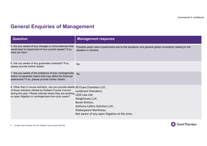### General Enquiries of Management

| <b>General Enquiries of Management</b>                                                                                                                                                                                                                                        | Commercial in confidence                                                                                                                                               |
|-------------------------------------------------------------------------------------------------------------------------------------------------------------------------------------------------------------------------------------------------------------------------------|------------------------------------------------------------------------------------------------------------------------------------------------------------------------|
| <b>Question</b>                                                                                                                                                                                                                                                               | <b>Management response</b>                                                                                                                                             |
| 5. Are you aware of any changes in circumstances that<br>would lead to impairment of non-current assets? If so,<br>what are they?                                                                                                                                             | Possible asset value impairments due to the pandemic and general global uncertainty relating to the<br>situation in Ukraine                                            |
| 6. Are you aware of any guarantee contracts? If so,<br>please provide further details                                                                                                                                                                                         | <b>No</b>                                                                                                                                                              |
| 7. Are you aware of the existence of loss contingencies<br>and/or un-asserted claims that may affect the financial<br>statements? If so, please provide further details                                                                                                       | <b>No</b>                                                                                                                                                              |
| 8. Other than in house solicitors, can you provide details 39 Essex Chambers LLP;<br>of those solicitors utilised by Rutland County Council<br>during the year. Please indicate where they are working LGSS Law Ltd;<br>on open litigation or contingencies from prior years? | Landmark Chambers;<br>Weightmans LLP,<br>Bevan Brittan;<br>Anthony Collins Solicitors LLP;<br>Shakespeare Martineau.<br>Not aware of any open litigation at this time. |

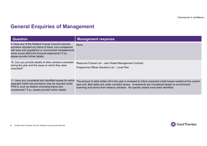### General Enquiries of Management

|                                                                                                                                                                                                                               | Commercial in confidence                                                                             |
|-------------------------------------------------------------------------------------------------------------------------------------------------------------------------------------------------------------------------------|------------------------------------------------------------------------------------------------------|
|                                                                                                                                                                                                                               |                                                                                                      |
| <b>General Enquiries of Management</b>                                                                                                                                                                                        |                                                                                                      |
| <b>Question</b>                                                                                                                                                                                                               | <b>Management response</b>                                                                           |
| 9. Have any of the Rutland County Council's service<br>providers reported any items of fraud, non-compliance<br>with laws and regulations or uncorrected misstatements<br>which would affect the financial statements? If so, | <b>None</b>                                                                                          |
| please provide further details                                                                                                                                                                                                |                                                                                                      |
| 10. Can you provide details of other advisors consulted<br>during the year and the issue on which they were<br>consulted?                                                                                                     | Resource Futures Ltd - new Waste Management Contract<br>Programme Officer Solutions Ltd - Local Plan |

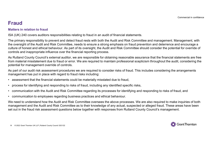## Fraud

#### Matters in relation to fraud

ISA (UK) 240 covers auditors responsibilities relating to fraud in an audit of financial statements.

The primary responsibility to prevent and detect fraud rests with both the Audit and Risk Committee and management. Management, with the oversight of the Audit and Risk Committee, needs to ensure a strong emphasis on fraud prevention and deterrence and encourage a culture of honest and ethical behaviour. As part of its oversight, the Audit and Risk Committee should consider the potential for override of controls and inappropriate influence over the financial reporting process. Fraud Matters in relation to fraud<br>
SA (UK) 240 covers auditors responsibilities relating to fraud in an audit of financial statements.<br>
The primary responsibility to prevent and detect fraud rests with both the Audit and Fraud Matters in relation to fraud<br>
ISA (UK) 240 covers auditors responsibilities relating to fraud in an audit of financial statements.<br>
The primary responsibility to prevent and detect fraud rests with both the Audit and Matters in relation to fraud<br>ISA (UK) 240 covers auditors responsibilities relating to fraud in an audit of financial statements.<br>The primary responsibility to prevent and detect fraud rests with both the Audit and Risk Co FIRM (UK) 240 covers auditors responsibilities relating to fraud in an audit of financial statements.<br>
The primary responsibility to prevent and detect fraud rests with both the Audit and Risk Committee at<br>
the oversight o

As Rutland County Council's external auditor, we are responsible for obtaining reasonable assurance that the financial statements are free from material misstatement due to fraud or error. We are required to maintain professional scepticism throughout the audit, considering the potential for management override of controls.

As part of our audit risk assessment procedures we are required to consider risks of fraud. This includes considering the arrangements management has put in place with regard to fraud risks including:

- 
- 
- 
- 

We need to understand how the Audit and Risk Committee oversees the above processes. We are also required to make inquiries of both management and the Audit and Risk Committee as to their knowledge of any actual, suspected or alleged fraud. These areas have been set out in the fraud risk assessment questions below together with responses from Rutland County Council's management.

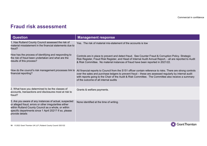| <b>Fraud risk assessment</b>                                                                                                                                                                                                                          | Commercial in confidence                                                                                                                                                                                                                                                                                                                                              |
|-------------------------------------------------------------------------------------------------------------------------------------------------------------------------------------------------------------------------------------------------------|-----------------------------------------------------------------------------------------------------------------------------------------------------------------------------------------------------------------------------------------------------------------------------------------------------------------------------------------------------------------------|
| <b>Question</b>                                                                                                                                                                                                                                       | <b>Management response</b>                                                                                                                                                                                                                                                                                                                                            |
| 1. Has Rutland County Council assessed the risk of<br>material misstatement in the financial statements due to<br>fraud?                                                                                                                              | Yes. The risk of material mis-statement of the accounts is low                                                                                                                                                                                                                                                                                                        |
| How has the process of identifying and responding to<br>the risk of fraud been undertaken and what are the<br>results of this process?                                                                                                                | Controls are in place to prevent and detect fraud. See Counter Fraud & Corruption Policy. Strategic<br>Risk Register, Fraud Risk Register, and Head of Internal Audit Annual Report, - all are reported to Audit<br>& Risk Committee. No material instances of fraud have been reported in 2021/22.                                                                   |
| How do the council's risk management processes link to<br>financial reporting?                                                                                                                                                                        | All financial reports to Council from the S151 officer contain reference to risks. There are strong controls<br>over the sales and purchase ledgers to prevent fraud - these are assessed regularly by internal audit<br>with reports going to the Chair of the Audit & Risk Committee. The Committee also receive a summary<br>of the outcome of all internal audits |
| 2. What have you determined to be the classes of<br>accounts, transactions and disclosures most at risk to<br>fraud?                                                                                                                                  | Grants & welfare payments.                                                                                                                                                                                                                                                                                                                                            |
| 3. Are you aware of any instances of actual, suspected<br>or alleged fraud, errors or other irregularities either<br>within Rutland County Council as a whole, or within<br>specific departments since 1 April 2021? If so, please<br>provide details | None identified at the time of writing.                                                                                                                                                                                                                                                                                                                               |
|                                                                                                                                                                                                                                                       |                                                                                                                                                                                                                                                                                                                                                                       |

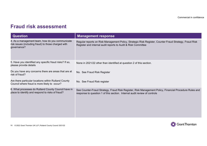|                                                                                                                       | Commercial in confidence                                                                                                                                                            |
|-----------------------------------------------------------------------------------------------------------------------|-------------------------------------------------------------------------------------------------------------------------------------------------------------------------------------|
| <b>Fraud risk assessment</b>                                                                                          |                                                                                                                                                                                     |
| <b>Question</b>                                                                                                       | <b>Management response</b>                                                                                                                                                          |
| 4. As a management team, how do you communicate<br>risk issues (including fraud) to those charged with<br>governance? | Regular reports on Risk Management Policy, Strategic Risk Register, Counter Fraud Strategy, Fraud Risk<br>Register and internal audit reports to Audit & Risk Committee             |
|                                                                                                                       |                                                                                                                                                                                     |
| 5. Have you identified any specific fraud risks? If so,<br>please provide details                                     | None in 2021/22 other than identified at question 2 of this section.                                                                                                                |
| Do you have any concerns there are areas that are at<br>risk of fraud?                                                | No. See Fraud Risk Register                                                                                                                                                         |
| Are there particular locations within Rutland County<br>Council where fraud is more likely to occur?                  | No. See Fraud Risk register                                                                                                                                                         |
| 6. What processes do Rutland County Council have in<br>place to identify and respond to risks of fraud?               | See Counter-Fraud Strategy, Fraud Risk Register, Risk Management Policy, Financial Procedure Rules and<br>response to question 1 of this section. Internal audit review of controls |
|                                                                                                                       |                                                                                                                                                                                     |
|                                                                                                                       |                                                                                                                                                                                     |
|                                                                                                                       |                                                                                                                                                                                     |

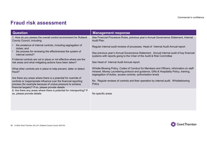|                                                                                                                                                                                                                                                      | Commercial in confidence                                                                                                                                                           |
|------------------------------------------------------------------------------------------------------------------------------------------------------------------------------------------------------------------------------------------------------|------------------------------------------------------------------------------------------------------------------------------------------------------------------------------------|
|                                                                                                                                                                                                                                                      |                                                                                                                                                                                    |
| <b>Fraud risk assessment</b>                                                                                                                                                                                                                         |                                                                                                                                                                                    |
| <b>Question</b>                                                                                                                                                                                                                                      | <b>Management response</b>                                                                                                                                                         |
| 7. How do you assess the overall control environment for Rutland<br>County Council, including:                                                                                                                                                       | See Financial Procedure Rules, previous year's Annual Governance Statement, Internal<br>Audit Plan.                                                                                |
| the existence of internal controls, including segregation of<br>duties; and<br>the process for reviewing the effectiveness the system of<br>internal control?                                                                                        | Regular internal audit reviews of processes. Head of Internal Audit Annual report.<br>See previous year's Annual Governance Statement. Annual internal audit of key financial      |
| If internal controls are not in place or not effective where are the                                                                                                                                                                                 | systems with reports going to the Chair of the Audit & Risk Committee<br>See Head of Internal Audit Annual report.                                                                 |
| risk areas and what mitigating actions have been taken?                                                                                                                                                                                              |                                                                                                                                                                                    |
| What other controls are in place to help prevent, deter or detect<br>fraud?                                                                                                                                                                          | Whistle Blowing Policy, Codes of Conduct for Members and Officers, information on staff<br>Intranet, Money Laundering protocol and guidance, Gifts & Hospitality Policy, training, |
| Are there any areas where there is a potential for override of<br>controls or inappropriate influence over the financial reporting<br>process (for example because of undue pressure to achieve<br>financial targets)? If so, please provide details | segregation of duties, access controls, authorisation levels<br>No. Regular reviews of controls and their operation by internal audit. Whistleblowing<br>Policy                    |

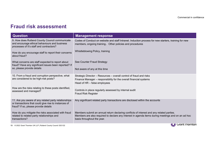| Fraud risk assessment                                                                                                                                | Commercial in confidence                                                                                                                                                                                                     |
|------------------------------------------------------------------------------------------------------------------------------------------------------|------------------------------------------------------------------------------------------------------------------------------------------------------------------------------------------------------------------------------|
| <b>Question</b>                                                                                                                                      | <b>Management response</b>                                                                                                                                                                                                   |
| 9. How does Rutland County Council communicate<br>and encourage ethical behaviours and business<br>processes of it's staff and contractors?          | Codes of Conduct on website and staff Intranet. Induction process for new starters, training for new<br>members, ongoing training Other policies and procedures                                                              |
| How do you encourage staff to report their concerns<br>about fraud?                                                                                  | Whistleblowing Policy, training                                                                                                                                                                                              |
| What concerns are staff expected to report about<br>fraud? Have any significant issues been reported? If<br>so, please provide details               | See Counter Fraud Strategy<br>Not aware of any at this time                                                                                                                                                                  |
| 10. From a fraud and corruption perspective, what<br>are considered to be high-risk posts?                                                           | Strategic Director - Resources - overall control of fraud and risks<br>Finance Manager - responsibility for the overall financial systems<br>Head of HR – false employees                                                    |
| How are the risks relating to these posts identified,<br>assessed and managed?                                                                       | Controls in place regularly assessed by internal audit<br><b>Fraud Risk Register</b>                                                                                                                                         |
| 11. Are you aware of any related party relationships<br>or transactions that could give rise to instances of<br>fraud? If so, please provide details | Any significant related party transactions are disclosed within the accounts                                                                                                                                                 |
| How do you mitigate the risks associated with fraud<br>related to related party relationships and<br>transactions?                                   | Members submit an annual return declaring conflicts of interest and any related parties.<br>Members are also required to declare any interest in agenda items during meetings and on an ad hoc<br>basis throughout the year. |
| 13 © 2022 Grant Thornton UK LLP   Rutland County Council 2021/22                                                                                     | <b>Grant I hornton</b>                                                                                                                                                                                                       |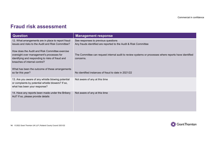| Commercial in confidence<br><b>Fraud risk assessment</b><br><b>Question</b><br><b>Management response</b><br>12. What arrangements are in place to report fraud<br>See responses to previous questions<br>issues and risks to the Audit and Risk Committee?<br>Any frauds identified are reported to the Audit & Risk Committee<br>How does the Audit and Risk Committee exercise<br>oversight over management's processes for<br>The Committee can request internal audit to review systems or processes where reports have identified |
|-----------------------------------------------------------------------------------------------------------------------------------------------------------------------------------------------------------------------------------------------------------------------------------------------------------------------------------------------------------------------------------------------------------------------------------------------------------------------------------------------------------------------------------------|
|                                                                                                                                                                                                                                                                                                                                                                                                                                                                                                                                         |
|                                                                                                                                                                                                                                                                                                                                                                                                                                                                                                                                         |
|                                                                                                                                                                                                                                                                                                                                                                                                                                                                                                                                         |
|                                                                                                                                                                                                                                                                                                                                                                                                                                                                                                                                         |
|                                                                                                                                                                                                                                                                                                                                                                                                                                                                                                                                         |
|                                                                                                                                                                                                                                                                                                                                                                                                                                                                                                                                         |
|                                                                                                                                                                                                                                                                                                                                                                                                                                                                                                                                         |
|                                                                                                                                                                                                                                                                                                                                                                                                                                                                                                                                         |
| identifying and responding to risks of fraud and<br>concerns.<br>breaches of internal control?                                                                                                                                                                                                                                                                                                                                                                                                                                          |
| What has been the outcome of these arrangements<br>No identified instances of fraud to date in 2021/22<br>so far this year?                                                                                                                                                                                                                                                                                                                                                                                                             |
| 13. Are you aware of any whistle blowing potential<br>Not aware of any at this time<br>or complaints by potential whistle blowers? If so,<br>what has been your response?                                                                                                                                                                                                                                                                                                                                                               |
| 14. Have any reports been made under the Bribery<br>Not aware of any at this time<br>Act? If so, please provide details                                                                                                                                                                                                                                                                                                                                                                                                                 |

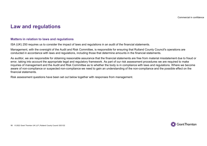### Law and regulations

#### Matters in relation to laws and regulations

ISA (UK) 250 requires us to consider the impact of laws and regulations in an audit of the financial statements.

Management, with the oversight of the Audit and Risk Committee, is responsible for ensuring that Rutland County Council's operations are conducted in accordance with laws and regulations, including those that determine amounts in the financial statements.

As auditor, we are responsible for obtaining reasonable assurance that the financial statements are free from material misstatement due to fraud or error, taking into account the appropriate legal and regulatory framework. As part of our risk assessment procedures we are required to make Law and regulations<br>
Matters in relation to laws and regulations<br>
ISA (UK) 250 requires us to consider the impact of laws and regulations in an audit of the financial statements.<br>
Management, with the oversight of the Audi aware of non-compliance or suspected non-compliance we need to gain an understanding of the non-compliance and the possible effect on the financial statements.

Risk assessment questions have been set out below together with responses from management.

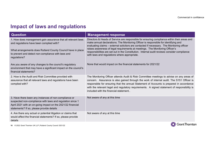### Impact of laws and regulations

|                                                                                                                                                                                                                                | Commercial in confidence                                                                                                                                                                                                                                                                                                                                                                                                   |  |
|--------------------------------------------------------------------------------------------------------------------------------------------------------------------------------------------------------------------------------|----------------------------------------------------------------------------------------------------------------------------------------------------------------------------------------------------------------------------------------------------------------------------------------------------------------------------------------------------------------------------------------------------------------------------|--|
| <b>Impact of laws and regulations</b>                                                                                                                                                                                          |                                                                                                                                                                                                                                                                                                                                                                                                                            |  |
| <b>Question</b>                                                                                                                                                                                                                | <b>Management response</b>                                                                                                                                                                                                                                                                                                                                                                                                 |  |
| 1. How does management gain assurance that all relevant laws<br>and regulations have been complied with?                                                                                                                       | Directors & Heads of Service are responsible for ensuring compliance within their areas and<br>make annual declarations. The Monitoring Officer is responsible for identifying and<br>evaluating claims - external solicitors are contacted if necessary. The Monitoring officer                                                                                                                                           |  |
| What arrangements does Rutland County Council have in place<br>to prevent and detect non-compliance with laws and<br>regulations?                                                                                              | raises awareness of legal requirements at meetings. The Monitoring Officer's<br>responsibilities are set out in the Constitution. Internal audit reviews consider compliance<br>with laws and regulations where appropriate.                                                                                                                                                                                               |  |
| Are you aware of any changes to the council's regulatory<br>environment that may have a significant impact on the council's<br>financial statements?                                                                           | None that would impact on the financial statements for 2021/22                                                                                                                                                                                                                                                                                                                                                             |  |
| 2. How is the Audit and Risk Committee provided with<br>assurance that all relevant laws and regulations have been<br>complied with?                                                                                           | The Monitoring Officer attends Audit & Risk Committee meetings to advise on any areas of<br>concern. Assurance is also gained through the work of internal audit. The S151 Officer is<br>responsible for ensuring that the annual Statement of Accounts is prepared in accordance<br>with the relevant legal and regulatory requirements. A signed statement of responsibility is<br>included with the financial statement |  |
| 3. Have there been any instances of non-compliance or<br>suspected non-compliance with laws and regulation since 1<br>April 2021 with an on-going impact on the 2021/22 financial<br>statements? If so, please provide details | Not aware of any at this time                                                                                                                                                                                                                                                                                                                                                                                              |  |
| 4. Are there any actual or potential litigation or claims that<br>would affect the financial statements? If so, please provide<br>details                                                                                      | Not aware of any at this time                                                                                                                                                                                                                                                                                                                                                                                              |  |
| 16 © 2022 Grant Thornton UK LLP   Rutland County Council 2021/22                                                                                                                                                               | <b>Grant Thornton</b>                                                                                                                                                                                                                                                                                                                                                                                                      |  |

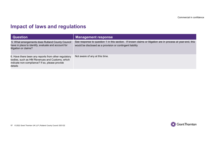### Impact of laws and regulations

|                                                                                                                                                                     | Commercial in confidence                                                                                                                                                |
|---------------------------------------------------------------------------------------------------------------------------------------------------------------------|-------------------------------------------------------------------------------------------------------------------------------------------------------------------------|
| <b>Impact of laws and regulations</b>                                                                                                                               |                                                                                                                                                                         |
| <b>Question</b>                                                                                                                                                     |                                                                                                                                                                         |
|                                                                                                                                                                     | <b>Management response</b>                                                                                                                                              |
| 5. What arrangements does Rutland County Council<br>have in place to identify, evaluate and account for<br>litigation or claims?                                    | See response to question 1 in this section. If known claims or litigation are in process at year-end, this<br>would be disclosed as a provision or contingent liability |
| 6. Have there been any reports from other regulatory<br>bodies, such as HM Revenues and Customs, which<br>indicate non-compliance? If so, please provide<br>details | Not aware of any at this time.                                                                                                                                          |



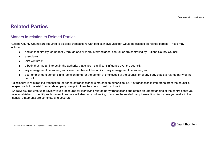### Related Parties

### Matters in relation to Related Parties

Rutland County Council are required to disclose transactions with bodies/individuals that would be classed as related parties. These may include: **ated Parties**<br>
ers in relation to Related Parties<br>
a County Council are required to disclose transactions with bodies/individuals that would be classed as related parties, These may<br>
bodies that directly, or indirectly t **ated Parties**<br>
ers in relation to Related Parties<br>
a County Council are required to disclose transactions with bodies/in<br>
<sup>9:</sup><br>
■ bodies that directly, or indirectly through one or more intermedia<br>
■ associates;<br>
■ joint **ated Parties**<br>
ers in relation to Related Parties<br>
a county council are required to disclose transactions with bodies/in<br>
<sup>9:</sup><br>
■ bodies that directly, or indirectly through one or more intermedia<br>
■ associates;<br>
■ joint

- 
- 
- 
- 
- 
- **ated Parties**<br>
a county Council are required to disclose transactions with bodies/individuals that would be classed as related pa<br>
a bodies that directly, or indirectly through one or more intermediaries, control, or are Commercial in<br>
a key management of Related Parties<br>
a County Council are required to disclose transactions with bodies/individuals that would be classed as related parties. These may<br>
a bodies that directly, or indirectly **Example 16 Parties**<br>
and County Council are required to disclose transactions with bodies/individuals that would be classed as related parties. These may<br>
a bodies that directly, or indirectly through one or more interme council.

A disclosure is required if a transaction (or series of transactions) is material on either side, i.e. if a transaction is immaterial from the council's perspective but material from a related party viewpoint then the council must disclose it.

**INCREDITE:**<br>
INCRETE INTERNATION TO RELATE CONDUCT TO RELATE TO CONDUCT TO RELATE THE CONDUCT TO RELATE THE CONDUCT TO A THE CONDUCT TO A THE CONDUCT TO A THE CONDUCT TO A THE CONDUCT TO A THE CONDUCT THE SURFACT TO A THE have established to identify such transactions. We will also carry out testing to ensure the related party transaction disclosures you make in the financial statements are complete and accurate.

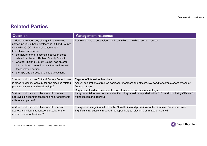### Related Parties

|                                                                                                                                                                                                                                                                                                                                                                                                                                                    | Commercial in confidence                                                                                                                                                                                                                 |
|----------------------------------------------------------------------------------------------------------------------------------------------------------------------------------------------------------------------------------------------------------------------------------------------------------------------------------------------------------------------------------------------------------------------------------------------------|------------------------------------------------------------------------------------------------------------------------------------------------------------------------------------------------------------------------------------------|
| <b>Related Parties</b>                                                                                                                                                                                                                                                                                                                                                                                                                             |                                                                                                                                                                                                                                          |
|                                                                                                                                                                                                                                                                                                                                                                                                                                                    |                                                                                                                                                                                                                                          |
| <b>Question</b>                                                                                                                                                                                                                                                                                                                                                                                                                                    | <b>Management response</b>                                                                                                                                                                                                               |
| 1. Have there been any changes in the related<br>parties including those disclosed in Rutland County<br>Council's 2020/21 financial statements?<br>If so please summarise:<br>the nature of the relationship between these<br>related parties and Rutland County Council<br>whether Rutland County Council has entered<br>into or plans to enter into any transactions with<br>these related parties<br>the type and purpose of these transactions | Some changes to post holders and councillors - no disclosures expected                                                                                                                                                                   |
| 2. What controls does Rutland County Council have<br>in place to identify, account for and disclose related<br>party transactions and relationships?                                                                                                                                                                                                                                                                                               | Register of Interest for Members<br>Annual declarations of related parties for members and officers, reviewed for completeness by senior<br>finance officers.<br>Requirement to disclose interest before items are discussed at meetings |
| 3. What controls are in place to authorise and<br>approve significant transactions and arrangements<br>with related parties?                                                                                                                                                                                                                                                                                                                       | If any potential transactions are identified, they would be reported to the S151 and Monitoring Officers for<br>authorisation and approval.                                                                                              |
| 4. What controls are in place to authorise and<br>approve significant transactions outside of the<br>normal course of business?                                                                                                                                                                                                                                                                                                                    | Emergency delegation set out in the Constitution and provisions in the Financial Procedure Rules.<br>Significant transactions reported retrospectively to relevant Committee or Councll.                                                 |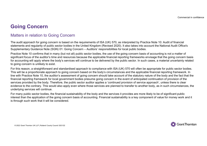## Going Concern

### Matters in relation to Going Concern

The audit approach for going concern is based on the requirements of ISA (UK) 570, as interpreted by Practice Note 10: Audit of financial statements and regularity of public sector bodies in the United Kingdom (Revised 2020). It also takes into account the National Audit Office's

**Going Concern**<br>
Matters in relation to Going Concern<br>
The audit approach for going concern is based on the requirements of ISA (UK) 570, as interpreted by Practice Note 10: Aud<br>
statements and regularity of public sector Practice Note 10 confirms that in many (but not all) public sector bodies, the use of the going concern basis of accounting is not a matter of Coing Concern<br>Significant for going concern<br>The audit approach for going concern is based on the requirements of ISA (UK) 570, as interpreted by Practice Note 10; Audit of financial<br>statements and regularity of public sect for accounting will apply where the body's services will continue to be delivered by the public sector. In such cases, a material uncertainty related to going concern is unlikely to exist.

For this reason, a straightforward and standardised approach to compliance with ISA (UK) 570 will often be appropriate for public sector bodies. This will be a proportionate approach to going concern based on the body's circumstances and the applicable financial reporting framework. In Coring Concern<br>
Matters in relation to Going Concern<br>
The audit approach for going concern is based on the requirements of ISA (UK) 570, as interpreted by Practice Note 10: Audit of financial<br>
statements and regularity of financial reporting framework for local government bodies presume going concern in the event of anticipated continuation of provision of the services provided by the body. Therefore, the public sector auditor applies a 'continued provision of service approach', unless there is clear **Going Concern**<br>The audit approach for going concerns based on the requirements of ISA (UK) 570, as interpreted by Practice Note 10: Audit of financial<br>statements and regularity of public sector bodies in the United Kingdo underlying services will continue. Matters in relation to Going Concern<br>The audit approach for going concern is based on the requirements of ISA (UK) 570, as interpreted by Practice Note 10: Audit of financial<br>statements and regularity of public sector bodi Matters in relation to Going Concern<br>The audit approach in going comen is based on the lender members of isolation. The audit application of responsibilities for local public bodies.<br>Supplementary Guidance Note (SGN) 01: G

is through such work that it will be considered.

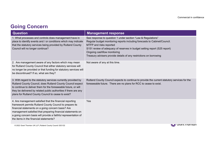## Going Concern

|                                                                                                                                                                                                                                                                                                                                                       | Commercial in confidence                                                                                                                                                                                                                                                                                                                               |
|-------------------------------------------------------------------------------------------------------------------------------------------------------------------------------------------------------------------------------------------------------------------------------------------------------------------------------------------------------|--------------------------------------------------------------------------------------------------------------------------------------------------------------------------------------------------------------------------------------------------------------------------------------------------------------------------------------------------------|
| <b>Going Concern</b>                                                                                                                                                                                                                                                                                                                                  |                                                                                                                                                                                                                                                                                                                                                        |
| <b>Question</b>                                                                                                                                                                                                                                                                                                                                       | <b>Management response</b>                                                                                                                                                                                                                                                                                                                             |
| 1. What processes and controls does management have in<br>place to identify events and / or conditions which may indicate<br>that the statutory services being provided by Rutland County<br>Council will no longer continue?                                                                                                                         | See response to question 1 under section "Law & Regulations"<br>Regular budget monitoring reports including forecasts to Cabinet/Council.<br>MTFP and risks reported<br>S151 review of adequacy of reserves in budget setting report (S25 report)<br>Ongoing cashflow monitoring<br>Treasury advisers provide details of any restrictions on borrowing |
| 2. Are management aware of any factors which may mean<br>for Rutland County Council that either statutory services will<br>no longer be provided or that funding for statutory services will<br>be discontinued? If so, what are they?                                                                                                                | Not aware of any at this time.                                                                                                                                                                                                                                                                                                                         |
| 3. With regard to the statutory services currently provided by<br>Rutland County Council, does Rutland County Council expect<br>to continue to deliver them for the foreseeable future, or will<br>they be delivered by related public authorities if there are any<br>plans for Rutland County Council to cease to exist?                            | Rutland County Council expects to continue to provide the current statutory services for the<br>foreseeable future. There are no plans for RCC to cease to exist.                                                                                                                                                                                      |
| 4. Are management satisfied that the financial reporting<br>framework permits Rutland County Council to prepare its<br>financial statements on a going concern basis? Are<br>management satisfied that preparing financial statements on<br>a going concern basis will provide a faithful representation of<br>the items in the financial statements? | Yes                                                                                                                                                                                                                                                                                                                                                    |
|                                                                                                                                                                                                                                                                                                                                                       |                                                                                                                                                                                                                                                                                                                                                        |



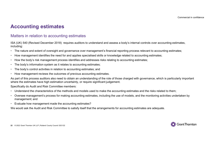### Accounting estimates

### Matters in relation to accounting estimates

ISA (UK) 540 (Revised December 2018) requires auditors to understand and assess a body's internal controls over accounting estimates, including:

- The nature and extent of oversight and governance over management's financial reporting process relevant to accounting estimates;
- How management identifies the need for and applies specialised skills or knowledge related to accounting estimates;
- How the body's risk management process identifies and addresses risks relating to accounting estimates;
- The body's information system as it relates to accounting estimates;<br>The body's control activities in relation to accounting estimates; and
- 
- How management reviews the outcomes of previous accounting estimates.

As part of this process auditors also need to obtain an understanding of the role of those charged with governance, which is particularly important where the estimates have high estimation uncertainty, or require significant judgement. including:<br>• The nature and extent of oversight and governance over management's financial reporting process relevant to accounting estimates;<br>• How the body's risk management process identifies and addresses risks relatin

Specifically do Audit and Risk Committee members:

- Understand the characteristics of the methods and models used to make the accounting estimates and the risks related to them;
- Oversee management's process for making accounting estimates, including the use of models, and the monitoring activities undertaken by management; and
- Evaluate how management made the accounting estimates?

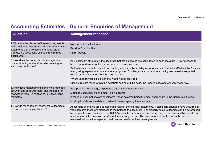|                                                                                                                                                                                                                          | Commercial in confidence                                                                                                                                                                                                                                                                                                                                                                                                                                                                                                                                                                                                                          |
|--------------------------------------------------------------------------------------------------------------------------------------------------------------------------------------------------------------------------|---------------------------------------------------------------------------------------------------------------------------------------------------------------------------------------------------------------------------------------------------------------------------------------------------------------------------------------------------------------------------------------------------------------------------------------------------------------------------------------------------------------------------------------------------------------------------------------------------------------------------------------------------|
|                                                                                                                                                                                                                          | <b>Accounting Estimates - General Enquiries of Management</b>                                                                                                                                                                                                                                                                                                                                                                                                                                                                                                                                                                                     |
| <b>Question</b>                                                                                                                                                                                                          | <b>Management response</b>                                                                                                                                                                                                                                                                                                                                                                                                                                                                                                                                                                                                                        |
| 1. What are the classes of transactions, events<br>and conditions, that are significant to the financial<br>statements that give rise to the need for, or<br>changes in, accounting estimate and related<br>disclosures? | Non-current asset valuations<br><b>Pension Fund liability</b><br><b>NDR Appeals</b>                                                                                                                                                                                                                                                                                                                                                                                                                                                                                                                                                               |
| 2. How does the council's risk management<br>process identify and address risks relating to<br>accounting estimates?                                                                                                     | Any significant amounts in the accounts that are estimated are considered to be those at risk. Any figures that<br>have changed significantly year on year are also considered.<br>Estimates are made in line with accounting standards by suitably experienced and trained staff within the Finance<br>team, using experts to advise where appropriate. Challenges are made where the figures reveal unexpected<br>results or large changes from the previous year<br>Where uncertainties exist a sensitivity analysis is provided<br>Disclosures are made within the accounts setting out the risks, the uncertainties and sensitivity analysis |
| 3. How does management identify the methods,<br>assumptions or source data, and the need for<br>changes in them, in relation to key accounting<br>estimates?                                                             | Past practice, knowledge, experience and environment scanning.<br>Methods used calculate the most likely outcome<br>A range of assumptions are considered, those selected being the most appropriate to the Council's situation<br>Most up to date source data considered when preparing the accounts                                                                                                                                                                                                                                                                                                                                             |
| 4. How do management review the outcomes of<br>previous accounting estimates?                                                                                                                                            | Accounting estimates are updated each year for the financial statements. If significant changes have occurred in<br>valuation data these are disclosed in the notes to the accounts. For property sales, outcomes can be determined<br>by the profit or loss achieved. For NDR Appeals the amount paid out during the year is assessed by experts and<br>used to inform the provision needed at the current year end. The amount of debt written off in the year is<br>reviewed to inform the expected credit losses needed at the current year end.                                                                                              |

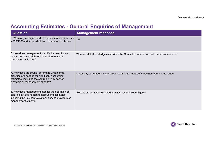|                                                                                                                                                                                            | Commercial in confiden                                                                  |
|--------------------------------------------------------------------------------------------------------------------------------------------------------------------------------------------|-----------------------------------------------------------------------------------------|
|                                                                                                                                                                                            | <b>Accounting Estimates - General Enquiries of Management</b>                           |
| <b>Question</b>                                                                                                                                                                            | <b>Management response</b>                                                              |
| 5. Were any changes made to the estimation processes<br>in 2021/22 and, if so, what was the reason for these?                                                                              | <b>No</b>                                                                               |
| 6. How does management identify the need for and<br>apply specialised skills or knowledge related to<br>accounting estimates?                                                              | Whether skills/knowledge exist within the Council, or where unusual circumstances exist |
| 7. How does the council determine what control<br>activities are needed for significant accounting<br>estimates, including the controls at any service<br>providers or management experts? | Materiality of numbers in the accounts and the impact of those numbers on the reader    |
| 8. How does management monitor the operation of<br>control activities related to accounting estimates,<br>including the key controls at any service providers or<br>management experts?    | Results of estimates reviewed against previous years figures                            |

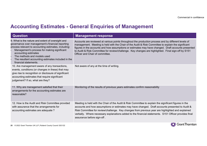|                                                                                                                                                                                                                                                                                                                                                    | Commercial in confidence                                                                                                                                                                                                                                                                                                                                                                                                                                     |
|----------------------------------------------------------------------------------------------------------------------------------------------------------------------------------------------------------------------------------------------------------------------------------------------------------------------------------------------------|--------------------------------------------------------------------------------------------------------------------------------------------------------------------------------------------------------------------------------------------------------------------------------------------------------------------------------------------------------------------------------------------------------------------------------------------------------------|
|                                                                                                                                                                                                                                                                                                                                                    |                                                                                                                                                                                                                                                                                                                                                                                                                                                              |
|                                                                                                                                                                                                                                                                                                                                                    | <b>Accounting Estimates - General Enquiries of Management</b>                                                                                                                                                                                                                                                                                                                                                                                                |
| <b>Question</b>                                                                                                                                                                                                                                                                                                                                    | <b>Management response</b>                                                                                                                                                                                                                                                                                                                                                                                                                                   |
| 9. What is the nature and extent of oversight and<br>governance over management's financial reporting<br>process relevant to accounting estimates, including:<br>Management's process for making significant<br>accounting estimates<br>The methods and models used<br>The resultant accounting estimates included in the<br>financial statements. | Accounts are reviewed at various points throughout the production process and by different levels of<br>management. Meeting is held with the Chair of the Audit & Risk Committee to explain the significant<br>figures in the accounts and how assumptions or estimates may have changed. Draft accounts presented<br>to Audit & Risk Committee for review/challenge. Key changes are highlighted. Final sign-off by S151<br>Officer and Chair of committee. |
| 10. Are management aware of any transactions,<br>events, conditions (or changes in these) that may<br>give rise to recognition or disclosure of significant<br>accounting estimates that require significant<br>judgement? If so, what are they?                                                                                                   | Not aware of any at the time of writing.                                                                                                                                                                                                                                                                                                                                                                                                                     |
| 11. Why are management satisfied that their<br>arrangements for the accounting estimates are<br>reasonable?                                                                                                                                                                                                                                        | Monitoring of the results of previous years estimates confirm reasonability                                                                                                                                                                                                                                                                                                                                                                                  |
| 12. How is the Audit and Risk Committee provided<br>with assurance that the arrangements for<br>accounting estimates are adequate?                                                                                                                                                                                                                 | Meeting is held with the Chair of the Audit & Risk Committee to explain the significant figures in the<br>accounts and how assumptions or estimates may have changed. Draft accounts presented to Audit &<br>Risk Committee for review/challenge. Key changes from previous year are highlighted and explained<br>verbally. Where necessary explanations added to the financial statements. S151 Officer provides final<br>assurance before sign-off.        |